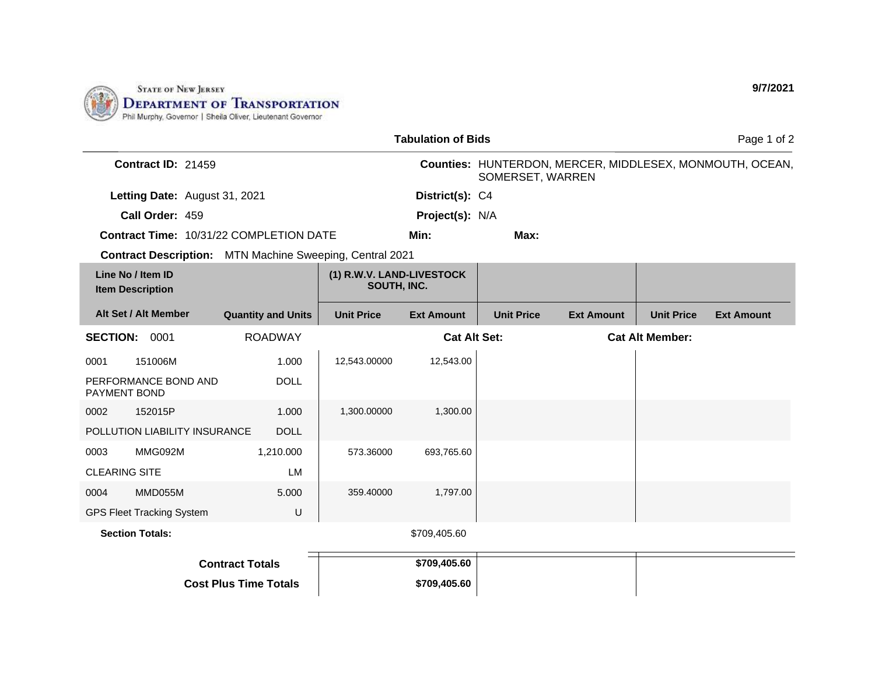

| <b>Tabulation of Bids</b>                                       |                                  |                                          |                   |                     |                   |                   | Page 1 of 2                                              |                   |  |  |
|-----------------------------------------------------------------|----------------------------------|------------------------------------------|-------------------|---------------------|-------------------|-------------------|----------------------------------------------------------|-------------------|--|--|
| <b>Contract ID: 21459</b>                                       |                                  |                                          |                   | SOMERSET, WARREN    |                   |                   | Counties: HUNTERDON, MERCER, MIDDLESEX, MONMOUTH, OCEAN, |                   |  |  |
|                                                                 | Letting Date: August 31, 2021    |                                          |                   | District(s): C4     |                   |                   |                                                          |                   |  |  |
|                                                                 | Call Order: 459                  |                                          |                   | Project(s): N/A     |                   |                   |                                                          |                   |  |  |
|                                                                 |                                  | Contract Time: 10/31/22 COMPLETION DATE  |                   | Min:                | Max:              |                   |                                                          |                   |  |  |
| <b>Contract Description:</b> MTN Machine Sweeping, Central 2021 |                                  |                                          |                   |                     |                   |                   |                                                          |                   |  |  |
| Line No / Item ID<br><b>Item Description</b>                    |                                  | (1) R.W.V. LAND-LIVESTOCK<br>SOUTH, INC. |                   |                     |                   |                   |                                                          |                   |  |  |
|                                                                 | Alt Set / Alt Member             | <b>Quantity and Units</b>                | <b>Unit Price</b> | <b>Ext Amount</b>   | <b>Unit Price</b> | <b>Ext Amount</b> | <b>Unit Price</b>                                        | <b>Ext Amount</b> |  |  |
| <b>SECTION: 0001</b>                                            |                                  | <b>ROADWAY</b>                           |                   | <b>Cat Alt Set:</b> |                   |                   | <b>Cat Alt Member:</b>                                   |                   |  |  |
| 0001                                                            | 151006M                          | 1.000                                    | 12,543.00000      | 12,543.00           |                   |                   |                                                          |                   |  |  |
| PAYMENT BOND                                                    | PERFORMANCE BOND AND             | <b>DOLL</b>                              |                   |                     |                   |                   |                                                          |                   |  |  |
| 0002                                                            | 152015P                          | 1.000                                    | 1,300.00000       | 1,300.00            |                   |                   |                                                          |                   |  |  |
| POLLUTION LIABILITY INSURANCE<br><b>DOLL</b>                    |                                  |                                          |                   |                     |                   |                   |                                                          |                   |  |  |
| 0003                                                            | MMG092M                          | 1,210.000                                | 573.36000         | 693,765.60          |                   |                   |                                                          |                   |  |  |
| <b>CLEARING SITE</b>                                            |                                  | <b>LM</b>                                |                   |                     |                   |                   |                                                          |                   |  |  |
| 0004                                                            | MMD055M                          | 5.000                                    | 359.40000         | 1,797.00            |                   |                   |                                                          |                   |  |  |
|                                                                 | <b>GPS Fleet Tracking System</b> | U                                        |                   |                     |                   |                   |                                                          |                   |  |  |
| <b>Section Totals:</b>                                          |                                  |                                          |                   | \$709,405.60        |                   |                   |                                                          |                   |  |  |
| <b>Contract Totals</b>                                          |                                  |                                          |                   | \$709,405.60        |                   |                   |                                                          |                   |  |  |
| <b>Cost Plus Time Totals</b>                                    |                                  |                                          |                   | \$709,405.60        |                   |                   |                                                          |                   |  |  |

**9/7/2021**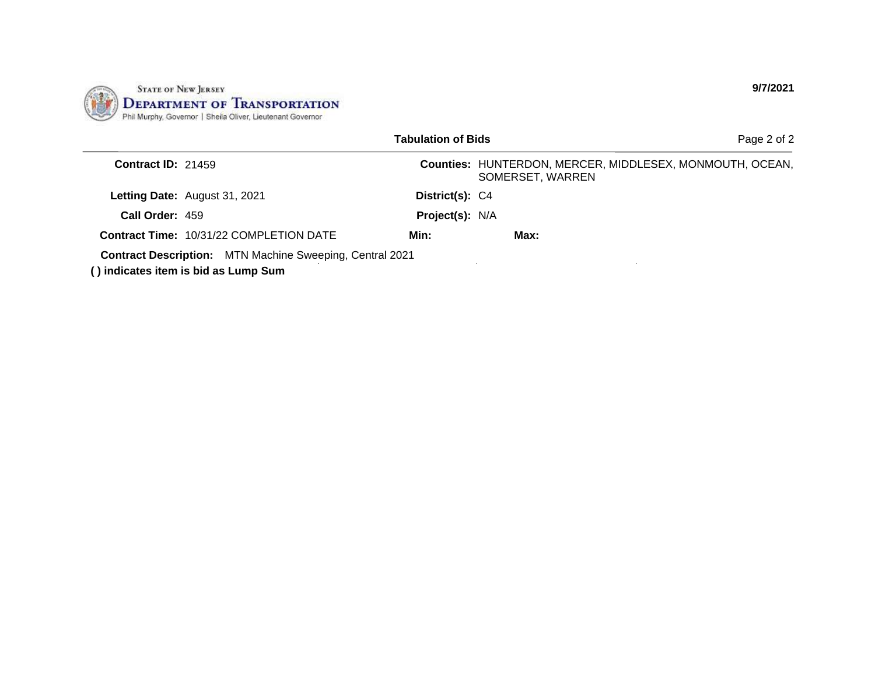

|                           |                                                                                                         | <b>Tabulation of Bids</b> | Page 2 of 2                                                                  |
|---------------------------|---------------------------------------------------------------------------------------------------------|---------------------------|------------------------------------------------------------------------------|
| <b>Contract ID: 21459</b> |                                                                                                         |                           | Counties: HUNTERDON, MERCER, MIDDLESEX, MONMOUTH, OCEAN,<br>SOMERSET, WARREN |
|                           | Letting Date: August 31, 2021                                                                           | District(s): C4           |                                                                              |
| Call Order: 459           |                                                                                                         | Project(s): N/A           |                                                                              |
|                           | <b>Contract Time: 10/31/22 COMPLETION DATE</b>                                                          | Min:                      | Max:                                                                         |
|                           | <b>Contract Description:</b> MTN Machine Sweeping, Central 2021<br>() indicates item is bid as Lump Sum |                           |                                                                              |